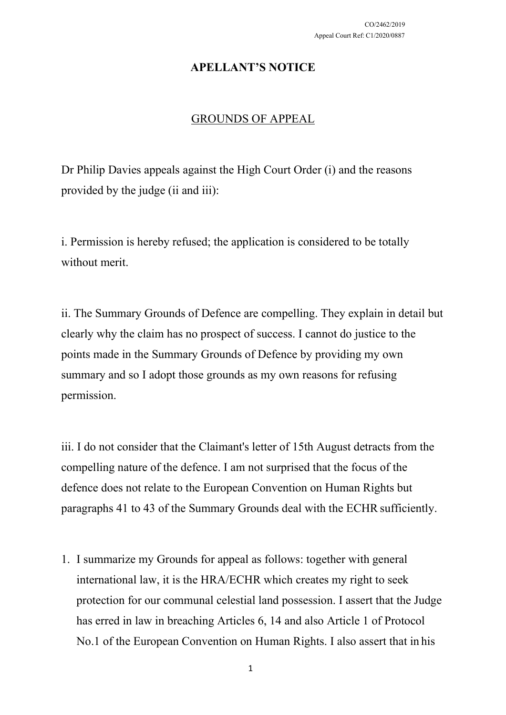## **APELLANT'S NOTICE**

## GROUNDS OF APPEAL

Dr Philip Davies appeals against the High Court Order (i) and the reasons provided by the judge (ii and iii):

i. Permission is hereby refused; the application is considered to be totally without merit.

ii. The Summary Grounds of Defence are compelling. They explain in detail but clearly why the claim has no prospect of success. I cannot do justice to the points made in the Summary Grounds of Defence by providing my own summary and so I adopt those grounds as my own reasons for refusing permission.

iii. I do not consider that the Claimant's letter of 15th August detracts from the compelling nature of the defence. I am not surprised that the focus of the defence does not relate to the European Convention on Human Rights but paragraphs 41 to 43 of the Summary Grounds deal with the ECHR sufficiently.

1. I summarize my Grounds for appeal as follows: together with general international law, it is the HRA/ECHR which creates my right to seek protection for our communal celestial land possession. I assert that the Judge has erred in law in breaching Articles 6, 14 and also Article 1 of Protocol No.1 of the European Convention on Human Rights. I also assert that in his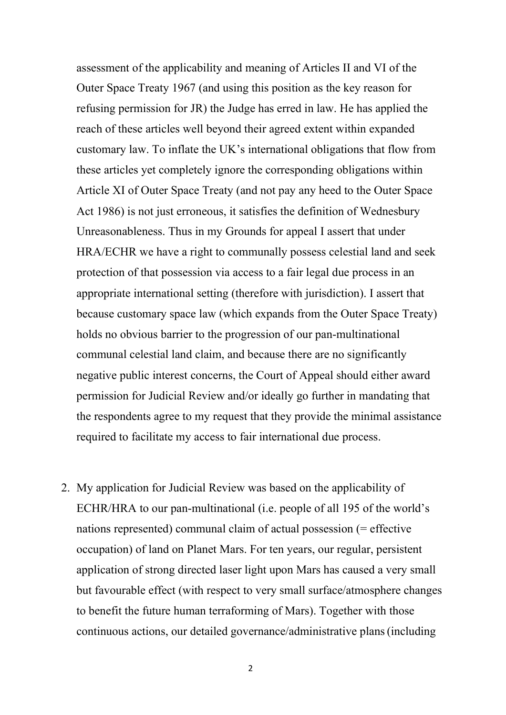assessment of the applicability and meaning of Articles II and VI of the Outer Space Treaty 1967 (and using this position as the key reason for refusing permission for JR) the Judge has erred in law. He has applied the reach of these articles well beyond their agreed extent within expanded customary law. To inflate the UK's international obligations that flow from these articles yet completely ignore the corresponding obligations within Article XI of Outer Space Treaty (and not pay any heed to the Outer Space Act 1986) is not just erroneous, it satisfies the definition of Wednesbury Unreasonableness. Thus in my Grounds for appeal I assert that under HRA/ECHR we have a right to communally possess celestial land and seek protection of that possession via access to a fair legal due process in an appropriate international setting (therefore with jurisdiction). I assert that because customary space law (which expands from the Outer Space Treaty) holds no obvious barrier to the progression of our pan-multinational communal celestial land claim, and because there are no significantly negative public interest concerns, the Court of Appeal should either award permission for Judicial Review and/or ideally go further in mandating that the respondents agree to my request that they provide the minimal assistance required to facilitate my access to fair international due process.

2. My application for Judicial Review was based on the applicability of ECHR/HRA to our pan-multinational (i.e. people of all 195 of the world's nations represented) communal claim of actual possession (= effective occupation) of land on Planet Mars. For ten years, our regular, persistent application of strong directed laser light upon Mars has caused a very small but favourable effect (with respect to very small surface/atmosphere changes to benefit the future human terraforming of Mars). Together with those continuous actions, our detailed governance/administrative plans(including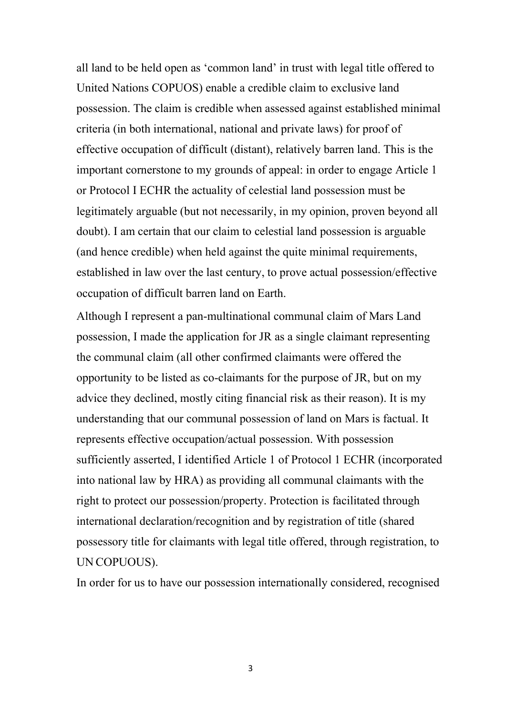all land to be held open as 'common land' in trust with legal title offered to United Nations COPUOS) enable a credible claim to exclusive land possession. The claim is credible when assessed against established minimal criteria (in both international, national and private laws) for proof of effective occupation of difficult (distant), relatively barren land. This is the important cornerstone to my grounds of appeal: in order to engage Article 1 or Protocol I ECHR the actuality of celestial land possession must be legitimately arguable (but not necessarily, in my opinion, proven beyond all doubt). I am certain that our claim to celestial land possession is arguable (and hence credible) when held against the quite minimal requirements, established in law over the last century, to prove actual possession/effective occupation of difficult barren land on Earth.

Although I represent a pan-multinational communal claim of Mars Land possession, I made the application for JR as a single claimant representing the communal claim (all other confirmed claimants were offered the opportunity to be listed as co-claimants for the purpose of JR, but on my advice they declined, mostly citing financial risk as their reason). It is my understanding that our communal possession of land on Mars is factual. It represents effective occupation/actual possession. With possession sufficiently asserted, I identified Article 1 of Protocol 1 ECHR (incorporated into national law by HRA) as providing all communal claimants with the right to protect our possession/property. Protection is facilitated through international declaration/recognition and by registration of title (shared possessory title for claimants with legal title offered, through registration, to UN COPUOUS).

In order for us to have our possession internationally considered, recognised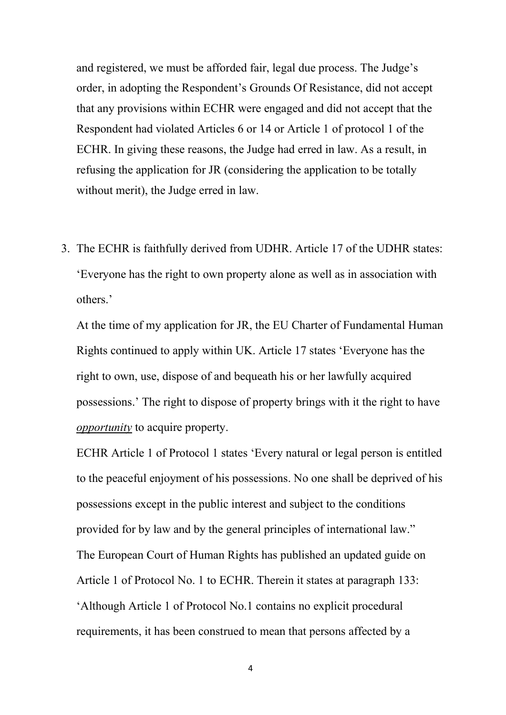and registered, we must be afforded fair, legal due process. The Judge's order, in adopting the Respondent's Grounds Of Resistance, did not accept that any provisions within ECHR were engaged and did not accept that the Respondent had violated Articles 6 or 14 or Article 1 of protocol 1 of the ECHR. In giving these reasons, the Judge had erred in law. As a result, in refusing the application for JR (considering the application to be totally without merit), the Judge erred in law.

3. The ECHR is faithfully derived from UDHR. Article 17 of the UDHR states: 'Everyone has the right to own property alone as well as in association with others.'

At the time of my application for JR, the EU Charter of Fundamental Human Rights continued to apply within UK. Article 17 states 'Everyone has the right to own, use, dispose of and bequeath his or her lawfully acquired possessions.' The right to dispose of property brings with it the right to have *opportunity* to acquire property.

ECHR Article 1 of Protocol 1 states 'Every natural or legal person is entitled to the peaceful enjoyment of his possessions. No one shall be deprived of his possessions except in the public interest and subject to the conditions provided for by law and by the general principles of international law." The European Court of Human Rights has published an updated guide on Article 1 of Protocol No. 1 to ECHR. Therein it states at paragraph 133: 'Although Article 1 of Protocol No.1 contains no explicit procedural requirements, it has been construed to mean that persons affected by a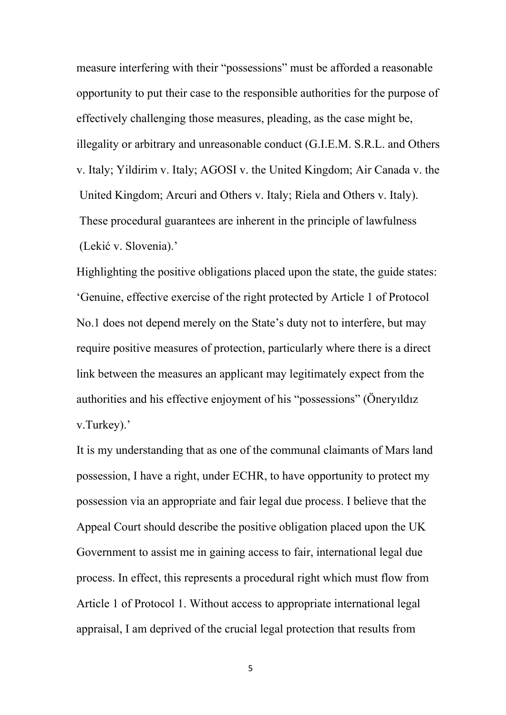measure interfering with their "possessions" must be afforded a reasonable opportunity to put their case to the responsible authorities for the purpose of effectively challenging those measures, pleading, as the case might be, illegality or arbitrary and unreasonable conduct (G.I.E.M. S.R.L. and Others v. Italy; Yildirim v. Italy; AGOSI v. the United Kingdom; Air Canada v. the United Kingdom; Arcuri and Others v. Italy; Riela and Others v. Italy). These procedural guarantees are inherent in the principle of lawfulness (Lekić v. Slovenia).'

Highlighting the positive obligations placed upon the state, the guide states: 'Genuine, effective exercise of the right protected by Article 1 of Protocol No.1 does not depend merely on the State's duty not to interfere, but may require positive measures of protection, particularly where there is a direct link between the measures an applicant may legitimately expect from the authorities and his effective enjoyment of his "possessions" (Öneryıldız v.Turkey).'

It is my understanding that as one of the communal claimants of Mars land possession, I have a right, under ECHR, to have opportunity to protect my possession via an appropriate and fair legal due process. I believe that the Appeal Court should describe the positive obligation placed upon the UK Government to assist me in gaining access to fair, international legal due process. In effect, this represents a procedural right which must flow from Article 1 of Protocol 1. Without access to appropriate international legal appraisal, I am deprived of the crucial legal protection that results from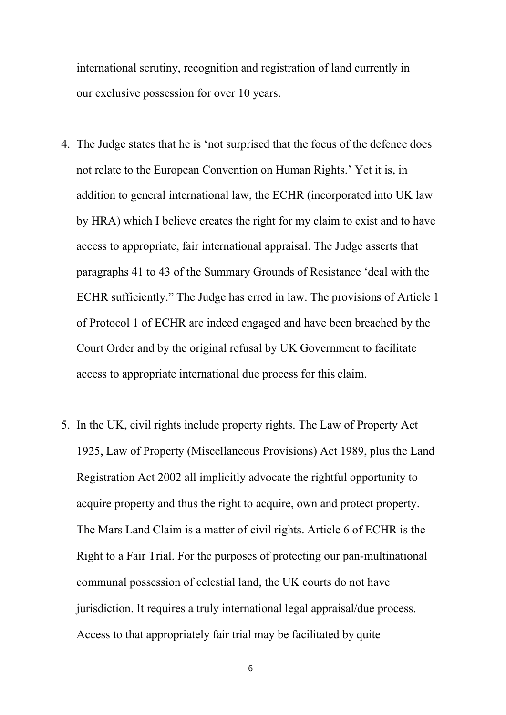international scrutiny, recognition and registration of land currently in our exclusive possession for over 10 years.

- 4. The Judge states that he is 'not surprised that the focus of the defence does not relate to the European Convention on Human Rights.' Yet it is, in addition to general international law, the ECHR (incorporated into UK law by HRA) which I believe creates the right for my claim to exist and to have access to appropriate, fair international appraisal. The Judge asserts that paragraphs 41 to 43 of the Summary Grounds of Resistance 'deal with the ECHR sufficiently." The Judge has erred in law. The provisions of Article 1 of Protocol 1 of ECHR are indeed engaged and have been breached by the Court Order and by the original refusal by UK Government to facilitate access to appropriate international due process for this claim.
- 5. In the UK, civil rights include property rights. The Law of Property Act 1925, Law of Property (Miscellaneous Provisions) Act 1989, plus the Land Registration Act 2002 all implicitly advocate the rightful opportunity to acquire property and thus the right to acquire, own and protect property. The Mars Land Claim is a matter of civil rights. Article 6 of ECHR is the Right to a Fair Trial. For the purposes of protecting our pan-multinational communal possession of celestial land, the UK courts do not have jurisdiction. It requires a truly international legal appraisal/due process. Access to that appropriately fair trial may be facilitated by quite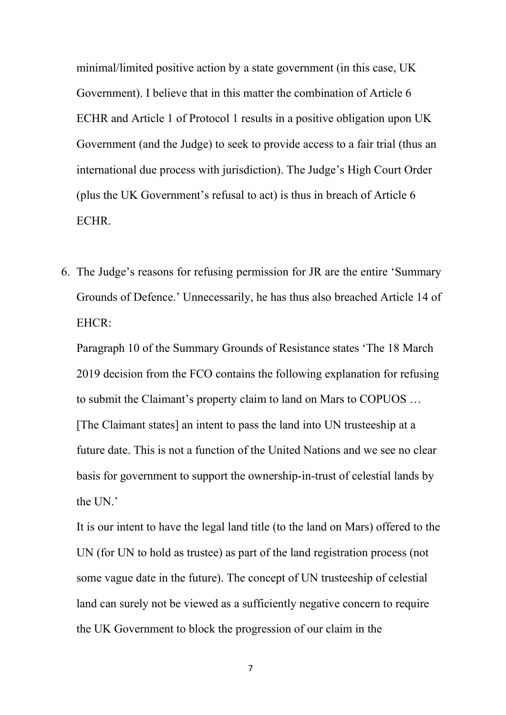minimal/limited positive action by a state government (in this case, UK Government). I believe that in this matter the combination of Article 6 ECHR and Article 1 of Protocol 1 results in a positive obligation upon UK Government (and the Judge) to seek to provide access to a fair trial (thus an international due process with jurisdiction). The Judge's High Court Order (plus the UK Government's refusal to act) is thus in breach of Article 6 ECHR.

6. The Judge's reasons for refusing permission for JR are the entire 'Summary Grounds of Defence.' Unnecessarily, he has thus also breached Article 14 of EHCR:

Paragraph 10 of the Summary Grounds of Resistance states 'The 18 March 2019 decision from the FCO contains the following explanation for refusing to submit the Claimant's property claim to land on Mars to COPUOS … [The Claimant states] an intent to pass the land into UN trusteeship at a future date. This is not a function of the United Nations and we see no clear basis for government to support the ownership-in-trust of celestial lands by the UN.'

It is our intent to have the legal land title (to the land on Mars) offered to the UN (for UN to hold as trustee) as part of the land registration process (not some vague date in the future). The concept of UN trusteeship of celestial land can surely not be viewed as a sufficiently negative concern to require the UK Government to block the progression of our claim in the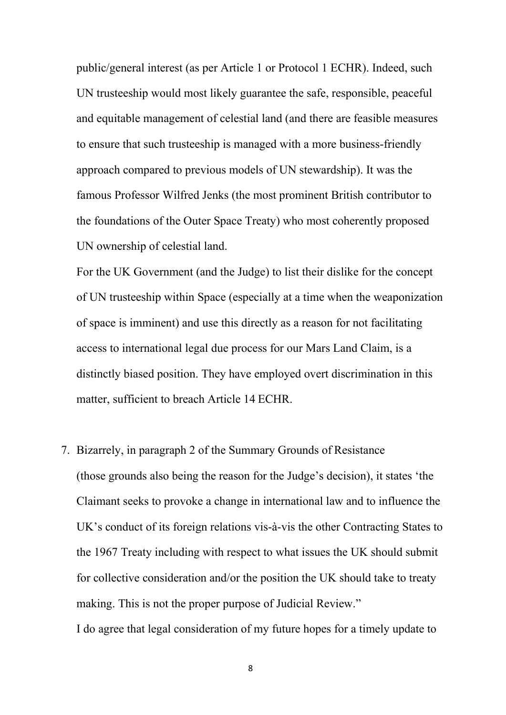public/general interest (as per Article 1 or Protocol 1 ECHR). Indeed, such UN trusteeship would most likely guarantee the safe, responsible, peaceful and equitable management of celestial land (and there are feasible measures to ensure that such trusteeship is managed with a more business-friendly approach compared to previous models of UN stewardship). It was the famous Professor Wilfred Jenks (the most prominent British contributor to the foundations of the Outer Space Treaty) who most coherently proposed UN ownership of celestial land.

For the UK Government (and the Judge) to list their dislike for the concept of UN trusteeship within Space (especially at a time when the weaponization of space is imminent) and use this directly as a reason for not facilitating access to international legal due process for our Mars Land Claim, is a distinctly biased position. They have employed overt discrimination in this matter, sufficient to breach Article 14 ECHR.

7. Bizarrely, in paragraph 2 of the Summary Grounds of Resistance (those grounds also being the reason for the Judge's decision), it states 'the Claimant seeks to provoke a change in international law and to influence the UK's conduct of its foreign relations vis-à-vis the other Contracting States to the 1967 Treaty including with respect to what issues the UK should submit for collective consideration and/or the position the UK should take to treaty making. This is not the proper purpose of Judicial Review." I do agree that legal consideration of my future hopes for a timely update to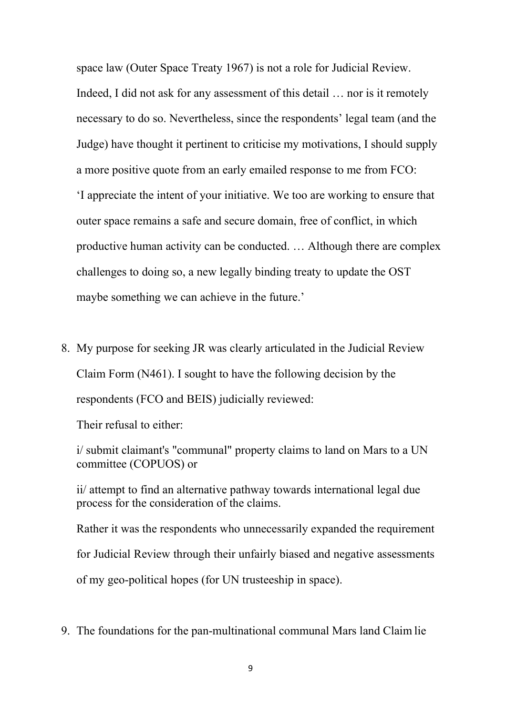space law (Outer Space Treaty 1967) is not a role for Judicial Review. Indeed, I did not ask for any assessment of this detail … nor is it remotely necessary to do so. Nevertheless, since the respondents' legal team (and the Judge) have thought it pertinent to criticise my motivations, I should supply a more positive quote from an early emailed response to me from FCO: 'I appreciate the intent of your initiative. We too are working to ensure that outer space remains a safe and secure domain, free of conflict, in which productive human activity can be conducted. … Although there are complex challenges to doing so, a new legally binding treaty to update the OST maybe something we can achieve in the future.'

8. My purpose for seeking JR was clearly articulated in the Judicial Review Claim Form (N461). I sought to have the following decision by the respondents (FCO and BEIS) judicially reviewed:

Their refusal to either:

i/ submit claimant's "communal" property claims to land on Mars to a UN committee (COPUOS) or

ii/ attempt to find an alternative pathway towards international legal due process for the consideration of the claims.

Rather it was the respondents who unnecessarily expanded the requirement for Judicial Review through their unfairly biased and negative assessments of my geo-political hopes (for UN trusteeship in space).

9. The foundations for the pan-multinational communal Mars land Claim lie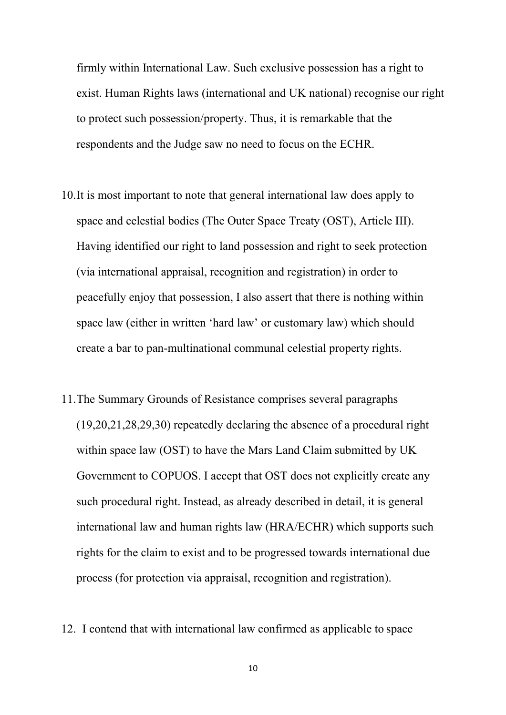firmly within International Law. Such exclusive possession has a right to exist. Human Rights laws (international and UK national) recognise our right to protect such possession/property. Thus, it is remarkable that the respondents and the Judge saw no need to focus on the ECHR.

- 10.It is most important to note that general international law does apply to space and celestial bodies (The Outer Space Treaty (OST), Article III). Having identified our right to land possession and right to seek protection (via international appraisal, recognition and registration) in order to peacefully enjoy that possession, I also assert that there is nothing within space law (either in written 'hard law' or customary law) which should create a bar to pan-multinational communal celestial property rights.
- 11.The Summary Grounds of Resistance comprises several paragraphs (19,20,21,28,29,30) repeatedly declaring the absence of a procedural right within space law (OST) to have the Mars Land Claim submitted by UK Government to COPUOS. I accept that OST does not explicitly create any such procedural right. Instead, as already described in detail, it is general international law and human rights law (HRA/ECHR) which supports such rights for the claim to exist and to be progressed towards international due process (for protection via appraisal, recognition and registration).
- 12. I contend that with international law confirmed as applicable to space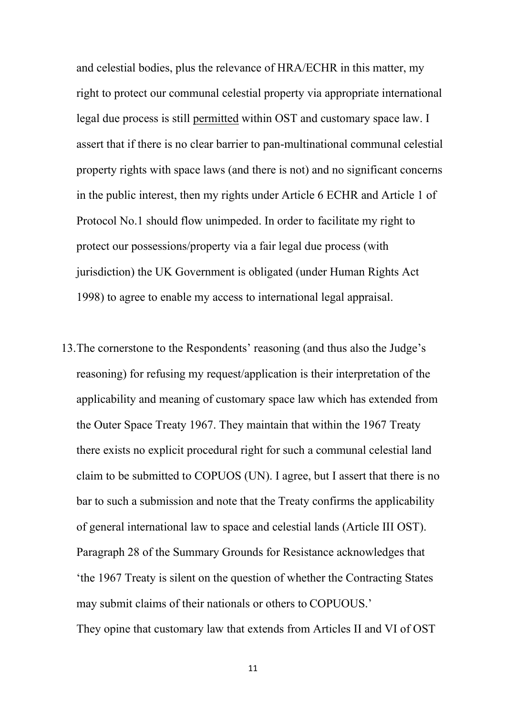and celestial bodies, plus the relevance of HRA/ECHR in this matter, my right to protect our communal celestial property via appropriate international legal due process is still permitted within OST and customary space law. I assert that if there is no clear barrier to pan-multinational communal celestial property rights with space laws (and there is not) and no significant concerns in the public interest, then my rights under Article 6 ECHR and Article 1 of Protocol No.1 should flow unimpeded. In order to facilitate my right to protect our possessions/property via a fair legal due process (with jurisdiction) the UK Government is obligated (under Human Rights Act 1998) to agree to enable my access to international legal appraisal.

13.The cornerstone to the Respondents' reasoning (and thus also the Judge's reasoning) for refusing my request/application is their interpretation of the applicability and meaning of customary space law which has extended from the Outer Space Treaty 1967. They maintain that within the 1967 Treaty there exists no explicit procedural right for such a communal celestial land claim to be submitted to COPUOS (UN). I agree, but I assert that there is no bar to such a submission and note that the Treaty confirms the applicability of general international law to space and celestial lands (Article III OST). Paragraph 28 of the Summary Grounds for Resistance acknowledges that 'the 1967 Treaty is silent on the question of whether the Contracting States may submit claims of their nationals or others to COPUOUS.' They opine that customary law that extends from Articles II and VI of OST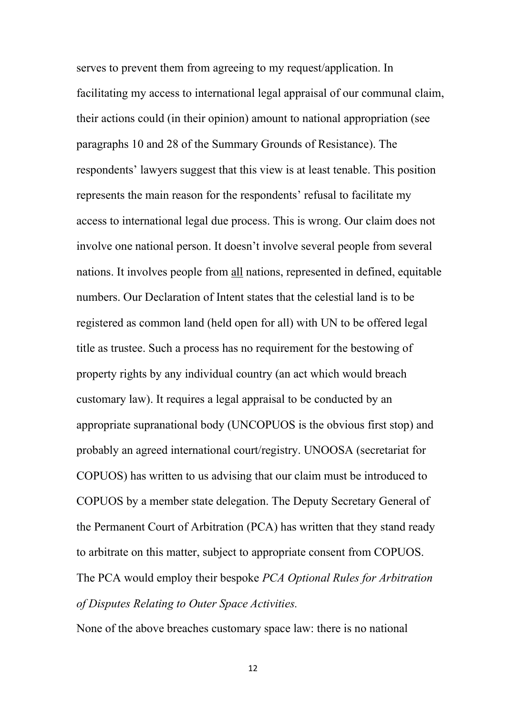serves to prevent them from agreeing to my request/application. In facilitating my access to international legal appraisal of our communal claim, their actions could (in their opinion) amount to national appropriation (see paragraphs 10 and 28 of the Summary Grounds of Resistance). The respondents' lawyers suggest that this view is at least tenable. This position represents the main reason for the respondents' refusal to facilitate my access to international legal due process. This is wrong. Our claim does not involve one national person. It doesn't involve several people from several nations. It involves people from all nations, represented in defined, equitable numbers. Our Declaration of Intent states that the celestial land is to be registered as common land (held open for all) with UN to be offered legal title as trustee. Such a process has no requirement for the bestowing of property rights by any individual country (an act which would breach customary law). It requires a legal appraisal to be conducted by an appropriate supranational body (UNCOPUOS is the obvious first stop) and probably an agreed international court/registry. UNOOSA (secretariat for COPUOS) has written to us advising that our claim must be introduced to COPUOS by a member state delegation. The Deputy Secretary General of the Permanent Court of Arbitration (PCA) has written that they stand ready to arbitrate on this matter, subject to appropriate consent from COPUOS. The PCA would employ their bespoke *PCA Optional Rules for Arbitration of Disputes Relating to Outer Space Activities.*

None of the above breaches customary space law: there is no national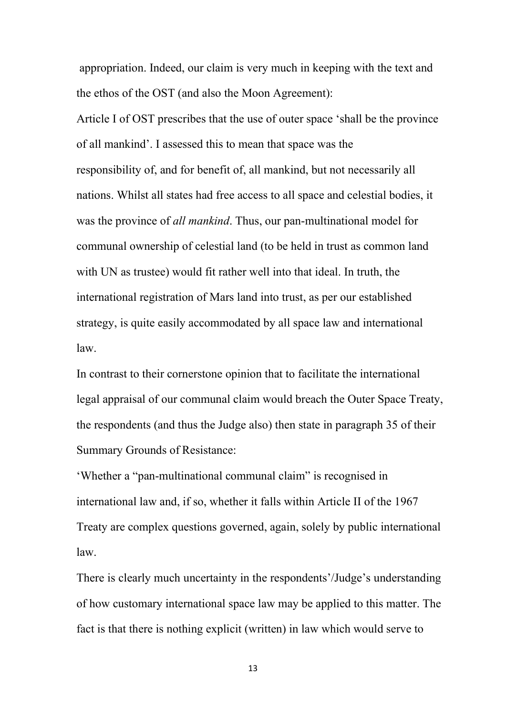appropriation. Indeed, our claim is very much in keeping with the text and the ethos of the OST (and also the Moon Agreement):

Article I of OST prescribes that the use of outer space 'shall be the province of all mankind'. I assessed this to mean that space was the responsibility of, and for benefit of, all mankind, but not necessarily all nations. Whilst all states had free access to all space and celestial bodies, it was the province of *all mankind*. Thus, our pan-multinational model for communal ownership of celestial land (to be held in trust as common land with UN as trustee) would fit rather well into that ideal. In truth, the international registration of Mars land into trust, as per our established strategy, is quite easily accommodated by all space law and international law.

In contrast to their cornerstone opinion that to facilitate the international legal appraisal of our communal claim would breach the Outer Space Treaty, the respondents (and thus the Judge also) then state in paragraph 35 of their Summary Grounds of Resistance:

'Whether a "pan-multinational communal claim" is recognised in international law and, if so, whether it falls within Article II of the 1967 Treaty are complex questions governed, again, solely by public international law.

There is clearly much uncertainty in the respondents'/Judge's understanding of how customary international space law may be applied to this matter. The fact is that there is nothing explicit (written) in law which would serve to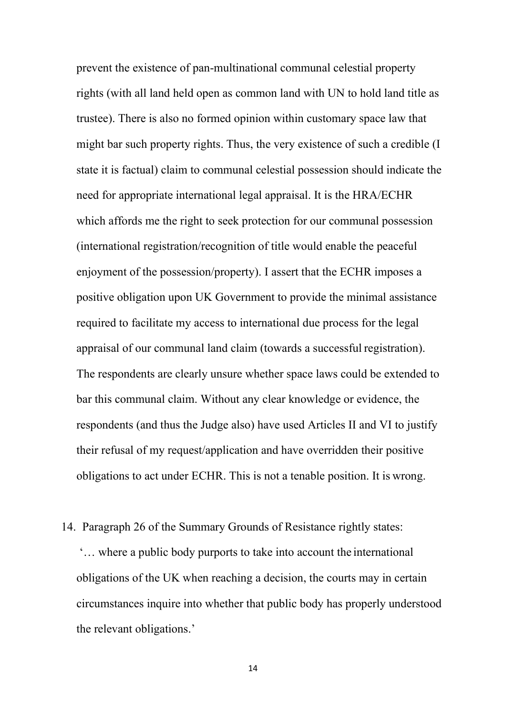prevent the existence of pan-multinational communal celestial property rights (with all land held open as common land with UN to hold land title as trustee). There is also no formed opinion within customary space law that might bar such property rights. Thus, the very existence of such a credible (I state it is factual) claim to communal celestial possession should indicate the need for appropriate international legal appraisal. It is the HRA/ECHR which affords me the right to seek protection for our communal possession (international registration/recognition of title would enable the peaceful enjoyment of the possession/property). I assert that the ECHR imposes a positive obligation upon UK Government to provide the minimal assistance required to facilitate my access to international due process for the legal appraisal of our communal land claim (towards a successful registration). The respondents are clearly unsure whether space laws could be extended to bar this communal claim. Without any clear knowledge or evidence, the respondents (and thus the Judge also) have used Articles II and VI to justify their refusal of my request/application and have overridden their positive obligations to act under ECHR. This is not a tenable position. It is wrong.

14. Paragraph 26 of the Summary Grounds of Resistance rightly states: '… where a public body purports to take into account the international obligations of the UK when reaching a decision, the courts may in certain circumstances inquire into whether that public body has properly understood the relevant obligations.'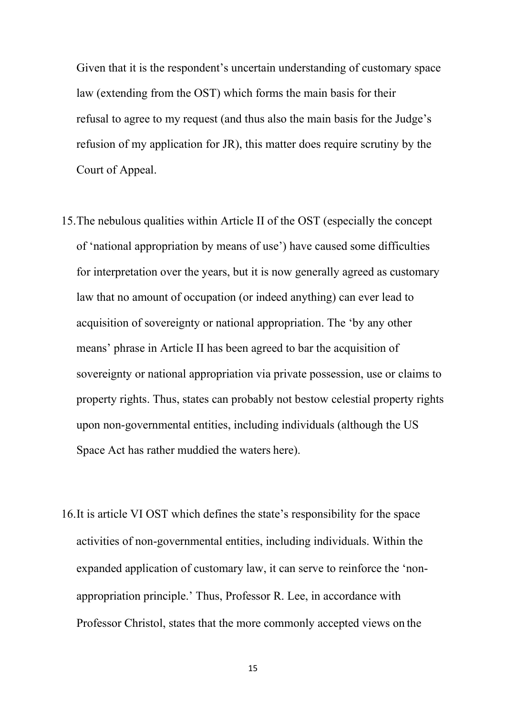Given that it is the respondent's uncertain understanding of customary space law (extending from the OST) which forms the main basis for their refusal to agree to my request (and thus also the main basis for the Judge's refusion of my application for JR), this matter does require scrutiny by the Court of Appeal.

- 15.The nebulous qualities within Article II of the OST (especially the concept of 'national appropriation by means of use') have caused some difficulties for interpretation over the years, but it is now generally agreed as customary law that no amount of occupation (or indeed anything) can ever lead to acquisition of sovereignty or national appropriation. The 'by any other means' phrase in Article II has been agreed to bar the acquisition of sovereignty or national appropriation via private possession, use or claims to property rights. Thus, states can probably not bestow celestial property rights upon non-governmental entities, including individuals (although the US Space Act has rather muddied the waters here).
- 16.It is article VI OST which defines the state's responsibility for the space activities of non-governmental entities, including individuals. Within the expanded application of customary law, it can serve to reinforce the 'nonappropriation principle.' Thus, Professor R. Lee, in accordance with Professor Christol, states that the more commonly accepted views on the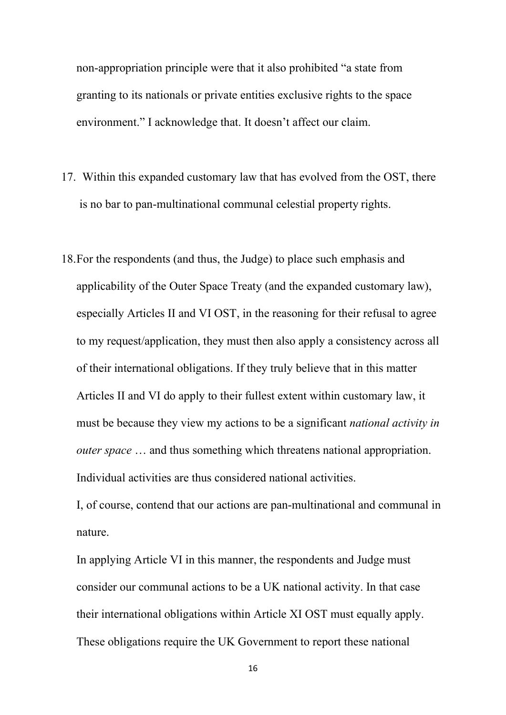non-appropriation principle were that it also prohibited "a state from granting to its nationals or private entities exclusive rights to the space environment." I acknowledge that. It doesn't affect our claim.

- 17. Within this expanded customary law that has evolved from the OST, there is no bar to pan-multinational communal celestial property rights.
- 18.For the respondents (and thus, the Judge) to place such emphasis and applicability of the Outer Space Treaty (and the expanded customary law), especially Articles II and VI OST, in the reasoning for their refusal to agree to my request/application, they must then also apply a consistency across all of their international obligations. If they truly believe that in this matter Articles II and VI do apply to their fullest extent within customary law, it must be because they view my actions to be a significant *national activity in outer space* … and thus something which threatens national appropriation. Individual activities are thus considered national activities.

I, of course, contend that our actions are pan-multinational and communal in nature.

In applying Article VI in this manner, the respondents and Judge must consider our communal actions to be a UK national activity. In that case their international obligations within Article XI OST must equally apply. These obligations require the UK Government to report these national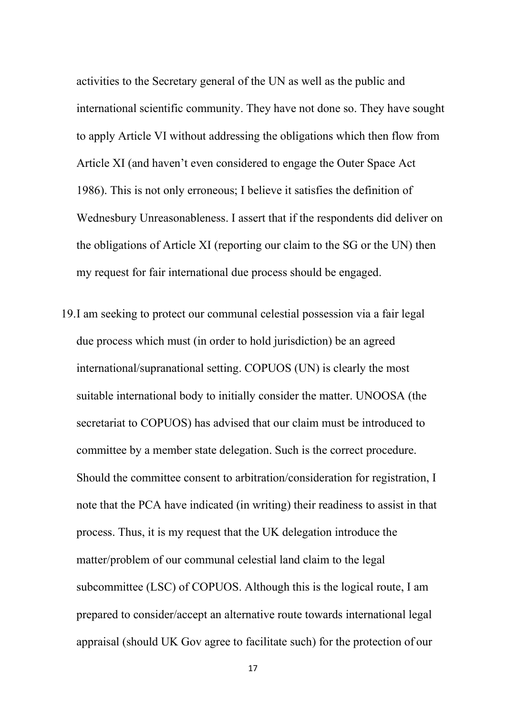activities to the Secretary general of the UN as well as the public and international scientific community. They have not done so. They have sought to apply Article VI without addressing the obligations which then flow from Article XI (and haven't even considered to engage the Outer Space Act 1986). This is not only erroneous; I believe it satisfies the definition of Wednesbury Unreasonableness. I assert that if the respondents did deliver on the obligations of Article XI (reporting our claim to the SG or the UN) then my request for fair international due process should be engaged.

19.I am seeking to protect our communal celestial possession via a fair legal due process which must (in order to hold jurisdiction) be an agreed international/supranational setting. COPUOS (UN) is clearly the most suitable international body to initially consider the matter. UNOOSA (the secretariat to COPUOS) has advised that our claim must be introduced to committee by a member state delegation. Such is the correct procedure. Should the committee consent to arbitration/consideration for registration, I note that the PCA have indicated (in writing) their readiness to assist in that process. Thus, it is my request that the UK delegation introduce the matter/problem of our communal celestial land claim to the legal subcommittee (LSC) of COPUOS. Although this is the logical route, I am prepared to consider/accept an alternative route towards international legal appraisal (should UK Gov agree to facilitate such) for the protection of our